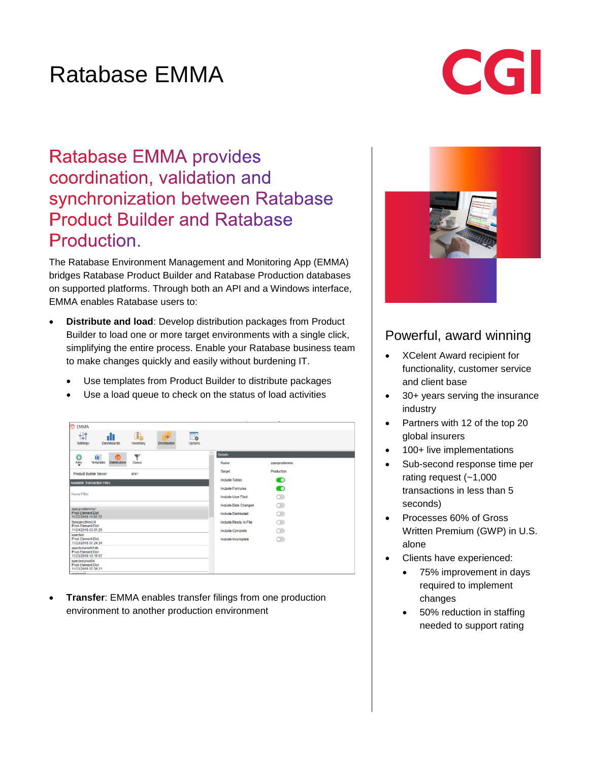# Ratabase EMMA

# CGI

## **Ratabase EMMA provides** coordination, validation and synchronization between Ratabase **Product Builder and Ratabase** Production.

The Ratabase Environment Management and Monitoring App (EMMA) bridges Ratabase Product Builder and Ratabase Production databases on supported platforms. Through both an API and a Windows interface, EMMA enables Ratabase users to:

- **Distribute and load**: Develop distribution packages from Product Builder to load one or more target environments with a single click, simplifying the entire process. Enable your Ratabase business team to make changes quickly and easily without burdening IT.
	- Use templates from Product Builder to distribute packages
	- Use a load queue to check on the status of load activities

| <b>EMMA</b>                                                                                                                         |                                  |  |
|-------------------------------------------------------------------------------------------------------------------------------------|----------------------------------|--|
| 劇<br>丗<br>$\overline{\mathbb{F}_0}$<br>dI<br>$\rightarrow$<br>Options<br>Sellings<br><b>Dashboards</b><br>Distribution<br>Inventory |                                  |  |
| o<br>v<br>ü<br>$\left( \frac{1}{2} \right)$                                                                                         | <b>Details</b>                   |  |
| Ngw<br>Templates<br>Queue<br>Distributions                                                                                          | Name<br>specprodernma            |  |
| <b>Product Builder Server</b><br>env1                                                                                               | Production<br>Target             |  |
| Available Transaction Files                                                                                                         | O<br>Include Tables              |  |
|                                                                                                                                     | $\bullet$<br>Include Formulas    |  |
| Name Filter                                                                                                                         | $\circ$<br>Include User Filed    |  |
| specprodemma1                                                                                                                       | $\circ$<br>Include Date Changed  |  |
| Prod-Element Dist<br>11/22/2018 11:02:22                                                                                            | $\circ$<br>Include Distributed   |  |
| SpecprodNov24<br>Prod-Element Dist                                                                                                  | $\circ$<br>Include Ready to File |  |
| 11/24/2018 03:01:25                                                                                                                 | $\circ$<br>Include Complete      |  |
| speciest<br>Prod-Element Dist<br>11/23/2018 07:24:34                                                                                | $\circ$<br>include Incomplete    |  |
| spectestprod01db<br>Prod-Element Dist<br>11/23/2018 10:15:57                                                                        |                                  |  |
| spectestprod04<br>Prod-Element Dist<br>11/23/2018 07:38:21                                                                          |                                  |  |
| Abondance                                                                                                                           |                                  |  |

 **Transfer**: EMMA enables transfer filings from one production environment to another production environment



### Powerful, award winning

- XCelent Award recipient for functionality, customer service and client base
- 30+ years serving the insurance industry
- Partners with 12 of the top 20 global insurers
- 100+ live implementations
- Sub-second response time per rating request (~1,000 transactions in less than 5 seconds)
- Processes 60% of Gross Written Premium (GWP) in U.S. alone
- Clients have experienced:
	- 75% improvement in days required to implement changes
	- 50% reduction in staffing needed to support rating